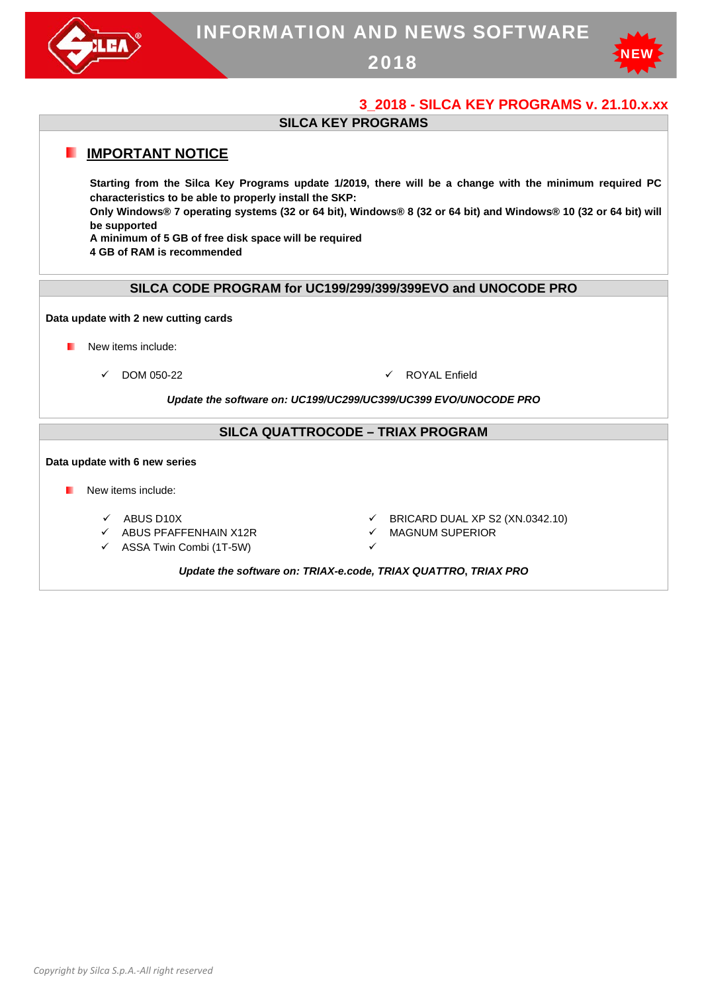

# INFORMATION AND NEWS SOFTWARE

2018



# **3\_2018 - SILCA KEY PROGRAMS v. 21.10.x.xx**

## **SILCA KEY PROGRAMS**

# **IMPORTANT NOTICE**

**Starting from the Silca Key Programs update 1/2019, there will be a change with the minimum required PC characteristics to be able to properly install the SKP:** 

**Only Windows® 7 operating systems (32 or 64 bit), Windows® 8 (32 or 64 bit) and Windows® 10 (32 or 64 bit) will be supported** 

**A minimum of 5 GB of free disk space will be required** 

**4 GB of RAM is recommended** 

#### **SILCA CODE PROGRAM for UC199/299/399/399EVO and UNOCODE PRO**

#### **Data update with 2 new cutting cards**

- **New items include:** 
	- $\checkmark$  DOM 050-22  $\checkmark$  ROYAL Enfield

*Update the software on: UC199/UC299/UC399/UC399 EVO/UNOCODE PRO*

## **SILCA QUATTROCODE – TRIAX PROGRAM**

#### **Data update with 6 new series**

- **New items include:** 
	-
	- **V** ABUS PFAFFENHAIN X12R MAGNUM SUPERIOR
	- $\checkmark$  ASSA Twin Combi (1T-5W)
	- $\checkmark$  ABUS D10X  $\checkmark$  BRICARD DUAL XP S2 (XN.0342.10)
		-
		- - *Update the software on: TRIAX-e.code, TRIAX QUATTRO***,** *TRIAX PRO*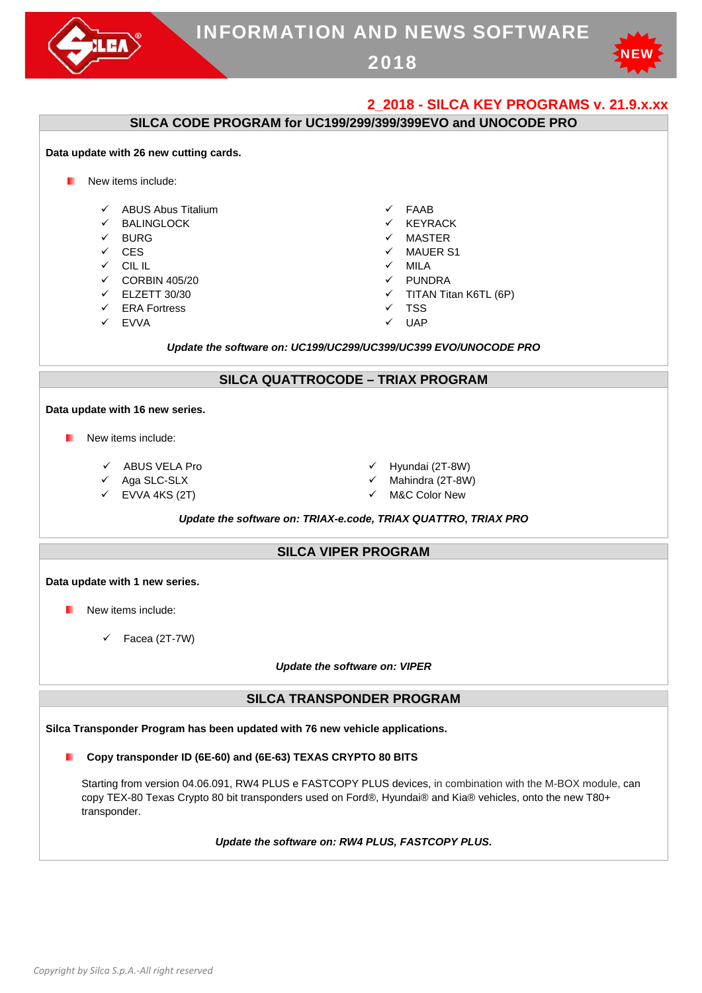

# **SILCA CODE PROGRAM for UC199/299/399/399EVO and UNOCODE PRO**

# New items include: ABUS Abus Titalium → FAAB  $\checkmark$  BALINGLOCK  $\checkmark$  KEYRACK  $\checkmark$  BURG  $\checkmark$  MASTER  $\checkmark$  CES  $\checkmark$  MAUER S1  $CLIL$  MILA  $\checkmark$  CORBIN 405/20  $\checkmark$  PUNDRA ELZETT 30/30 TITAN Titan K6TL (6P)  $\checkmark$  FRA Fortress  $\checkmark$  TSS  $\checkmark$  EVVA  $\checkmark$  UAP *Update the software on: UC199/UC299/UC399/UC399 EVO/UNOCODE PRO* **SILCA QUATTROCODE – TRIAX PROGRAM Data update with 16 new series. New items include:**  $\checkmark$  ABUS VELA Pro  $\checkmark$  Hyundai (2T-8W)  $\checkmark$  Aga SLC-SLX  $\checkmark$  Mahindra (2T-8W)  $\checkmark$  EVVA 4KS (2T)  $\checkmark$  M&C Color New *Update the software on: TRIAX-e.code, TRIAX QUATTRO***,** *TRIAX PRO*  **SILCA VIPER PROGRAM Data update with 1 new series.**  New items include:  $\checkmark$  Facea (2T-7W) *Update the software on: VIPER* **SILCA TRANSPONDER PROGRAM Silca Transponder Program has been updated with 76 new vehicle applications. Copy transponder ID (6E-60) and (6E-63) TEXAS CRYPTO 80 BITS**  Starting from version 04.06.091, RW4 PLUS e FASTCOPY PLUS devices, in combination with the M-BOX module, can copy TEX-80 Texas Crypto 80 bit transponders used on Ford®, Hyundai® and Kia® vehicles, onto the new T80+ transponder.

#### *Update the software on: RW4 PLUS, FASTCOPY PLUS***.**

**Data update with 26 new cutting cards.**